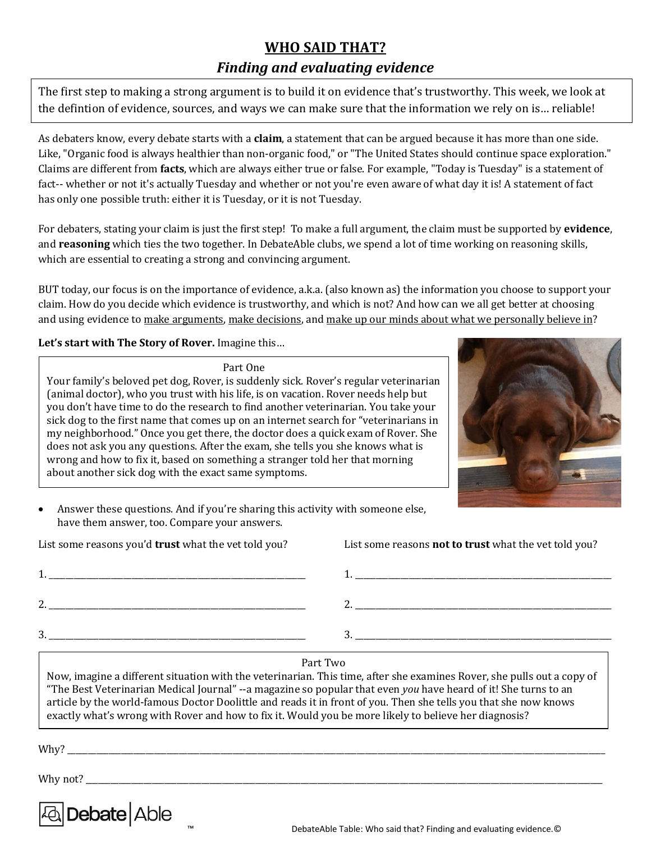# **WHO SAID THAT?**

# *Finding and evaluating evidence*

The first step to making a strong argument is to build it on evidence that's trustworthy. This week, we look at the defintion of evidence, sources, and ways we can make sure that the information we rely on is… reliable!

As debaters know, every debate starts with a **claim**, a statement that can be argued because it has more than one side. Like, "Organic food is always healthier than non-organic food," or "The United States should continue space exploration." Claims are different from **facts**, which are always either true or false. For example, "Today is Tuesday" is a statement of fact-- whether or not it's actually Tuesday and whether or not you're even aware of what day it is! A statement of fact has only one possible truth: either it is Tuesday, or it is not Tuesday.

For debaters, stating your claim is just the first step! To make a full argument, the claim must be supported by **evidence**, and **reasoning** which ties the two together. In DebateAble clubs, we spend a lot of time working on reasoning skills, which are essential to creating a strong and convincing argument.

BUT today, our focus is on the importance of evidence, a.k.a. (also known as) the information you choose to support your claim. How do you decide which evidence is trustworthy, and which is not? And how can we all get better at choosing and using evidence to make arguments, make decisions, and make up our minds about what we personally believe in?

**Let's start with The Story of Rover.** Imagine this…

Part One

Your family's beloved pet dog, Rover, is suddenly sick. Rover's regular veterinarian (animal doctor), who you trust with his life, is on vacation. Rover needs help but you don't have time to do the research to find another veterinarian. You take your sick dog to the first name that comes up on an internet search for "veterinarians in my neighborhood." Once you get there, the doctor does a quick exam of Rover. She does not ask you any questions. After the exam, she tells you she knows what is wrong and how to fix it, based on something a stranger told her that morning about another sick dog with the exact same symptoms.



• Answer these questions. And if you're sharing this activity with someone else, have them answer, too. Compare your answers.

|     | 1. _______________________ |  |  |
|-----|----------------------------|--|--|
| 2.1 |                            |  |  |
| 3   |                            |  |  |

List some reasons you'd **trust** what the vet told you? List some reasons **not to trust** what the vet told you?

 $1.$ 

 $2.$ 

 $3.$ 

Part Two

Now, imagine a different situation with the veterinarian. This time, after she examines Rover, she pulls out a copy of "The Best Veterinarian Medical Journal" --a magazine so popular that even *you* have heard of it! She turns to an article by the world-famous Doctor Doolittle and reads it in front of you. Then she tells you that she now knows exactly what's wrong with Rover and how to fix it. Would you be more likely to believe her diagnosis?

Why? \_\_\_\_\_\_\_\_\_\_\_\_\_\_\_\_\_\_\_\_\_\_\_\_\_\_\_\_\_\_\_\_\_\_\_\_\_\_\_\_\_\_\_\_\_\_\_\_\_\_\_\_\_\_\_\_\_\_\_\_\_\_\_\_\_\_\_\_\_\_\_\_\_\_\_\_\_\_\_\_\_\_\_\_\_\_\_\_\_\_\_\_\_\_\_\_\_\_\_\_\_\_\_\_\_\_\_\_\_\_\_\_\_\_\_\_\_\_\_\_\_\_\_\_\_\_\_\_\_\_

Why not?

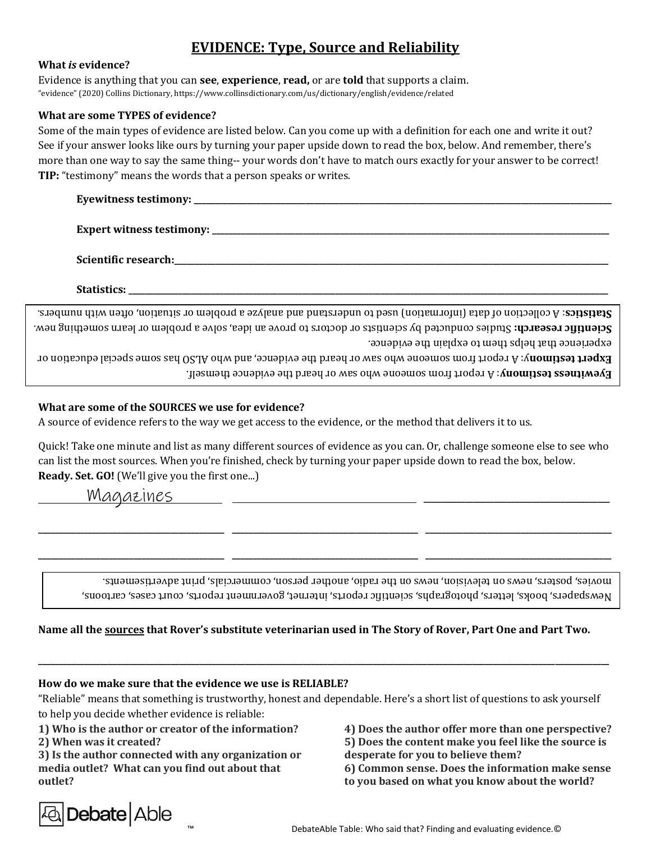# **EVIDENCE: Type, Source and Reliability**

#### **What** *is* **evidence?**

Evidence is anything that you can **see**, **experience**, **read,** or are **told** that supports a claim. "evidence" (2020) Collins Dictionary, https://www.collinsdictionary.com/us/dictionary/english/evidence/related

### **What are some TYPES of evidence?**

Some of the main types of evidence are listed below. Can you come up with a definition for each one and write it out? See if your answer looks like ours by turning your paper upside down to read the box, below. And remember, there's more than one way to say the same thing-- your words don't have to match ours exactly for your answer to be correct! **TIP:** "testimony" means the words that a person speaks or writes.

**Eyewitness testimony: \_\_\_\_\_\_\_\_\_\_\_\_\_\_\_\_\_\_\_\_\_\_\_\_\_\_\_\_\_\_\_\_\_\_\_\_\_\_\_\_\_\_\_\_\_\_\_\_\_\_\_\_\_\_\_\_\_\_\_\_\_\_\_\_\_\_\_\_\_\_\_\_\_\_\_\_\_\_\_\_\_\_\_\_\_\_\_\_\_\_\_\_\_\_\_\_\_\_\_\_\_**

**Expert witness testimony: \_\_\_\_\_\_\_\_\_\_\_\_\_\_\_\_\_\_\_\_\_\_\_\_\_\_\_\_\_\_\_\_\_\_\_\_\_\_\_\_\_\_\_\_\_\_\_\_\_\_\_\_\_\_\_\_\_\_\_\_\_\_\_\_\_\_\_\_\_\_\_\_\_\_\_\_\_\_\_\_\_\_\_\_\_\_\_\_\_\_\_\_\_\_\_\_**

Scientific research:

**Statistics: \_\_\_\_\_\_\_\_\_\_\_\_\_\_\_\_\_\_\_\_\_\_\_\_\_\_\_\_\_\_\_\_\_\_\_\_\_\_\_\_\_\_\_\_\_\_\_\_\_\_\_\_\_\_\_\_\_\_\_\_\_\_\_\_\_\_\_\_\_\_\_\_\_\_\_\_\_\_\_\_\_\_\_\_\_\_\_\_\_\_\_\_\_\_\_\_\_\_\_\_\_\_\_\_\_\_\_\_\_\_\_\_\_\_\_\_**

experience that helps them to explain the evidence. Studies conducted by scientists or doctors to prove an idea, solve a problem or learn something new. **: research Scientific**  : A collection of data (information) used to understand and analyze a problem or situation, often with numbers. **Statistics**

Eyevitness testimony: A report from someone who saw or heard the evidence themself. **Expert testimony:** A report from someone who saw or heard the evidence, and who ALSO has some special education or

## **What are some of the SOURCES we use for evidence?**

A source of evidence refers to the way we get access to the evidence, or the method that delivers it to us.

Quick! Take one minute and list as many different sources of evidence as you can. Or, challenge someone else to see who can list the most sources. When you're finished, check by turning your paper upside down to read the box, below. **Ready. Set. GO!** (We'll give you the first one...)

**\_\_\_\_\_\_\_\_\_\_\_\_\_\_\_\_\_\_\_\_\_\_\_\_\_\_\_\_\_\_\_\_\_\_\_\_\_\_\_\_\_\_\_\_\_ \_\_\_\_\_\_\_\_\_\_\_\_\_\_\_\_\_\_\_\_\_\_\_\_\_\_\_\_\_\_\_\_\_\_\_\_\_\_\_\_\_\_\_\_\_ \_\_\_\_\_\_\_\_\_\_\_\_\_\_\_\_\_\_\_\_\_\_\_\_\_\_\_\_\_\_\_\_\_\_\_\_\_\_\_\_\_\_\_\_\_**

**\_\_\_\_\_\_\_\_\_\_\_\_\_\_\_\_\_\_\_\_\_\_\_\_\_\_\_\_\_\_\_\_\_\_\_\_\_\_\_\_\_\_\_\_\_ \_\_\_\_\_\_\_\_\_\_\_\_\_\_\_\_\_\_\_\_\_\_\_\_\_\_\_\_\_\_\_\_\_\_\_\_\_\_\_\_\_\_\_\_\_ \_\_\_\_\_\_\_\_\_\_\_\_\_\_\_\_\_\_\_\_\_\_\_\_\_\_\_\_\_\_\_\_\_\_\_\_\_\_\_\_\_\_\_\_\_**

Magazines **\_\_\_\_\_\_\_\_\_\_\_\_\_\_\_\_\_\_\_\_\_\_\_\_\_\_\_\_\_\_\_\_\_\_\_\_\_\_\_\_\_\_\_\_\_**

Newspapers, books, letters, photographs, scientific reports, internet, government reports, court cases, cartoons, movies, posters, news on television, news on the radio, another person, commercials, print advertisements.

## **Name all the sources that Rover's substitute veterinarian used in The Story of Rover, Part One and Part Two.**

# **How do we make sure that the evidence we use is RELIABLE?**

"Reliable" means that something is trustworthy, honest and dependable. Here's a short list of questions to ask yourself to help you decide whether evidence is reliable:

**\_\_\_\_\_\_\_\_\_\_\_\_\_\_\_\_\_\_\_\_\_\_\_\_\_\_\_\_\_\_\_\_\_\_\_\_\_\_\_\_\_\_\_\_\_\_\_\_\_\_\_\_\_\_\_\_\_\_\_\_\_\_\_\_\_\_\_\_\_\_\_\_\_\_\_\_\_\_\_\_\_\_\_\_\_\_\_\_\_\_\_\_\_\_\_\_\_\_\_\_\_\_\_\_\_\_\_\_\_\_\_\_\_\_\_\_\_\_\_\_\_\_\_\_\_\_\_\_\_\_\_\_\_\_\_\_\_\_** 

**1) Who is the author or creator of the information?**

**2) When was it created?**

**3) Is the author connected with any organization or media outlet? What can you find out about that outlet?** 



**4) Does the author offer more than one perspective? 5) Does the content make you feel like the source is** 

**desperate for you to believe them?** 

**6) Common sense. Does the information make sense to you based on what you know about the world?**